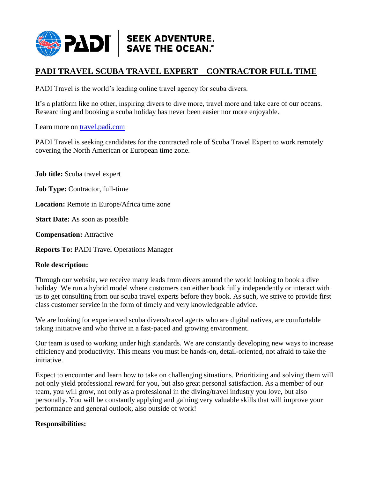

# **PADI TRAVEL SCUBA TRAVEL EXPERT—CONTRACTOR FULL TIME**

PADI Travel is the world's leading online travel agency for scuba divers.

It's a platform like no other, inspiring divers to dive more, travel more and take care of our oceans. Researching and booking a scuba holiday has never been easier nor more enjoyable.

Learn more on [travel.padi.com](https://diviac.com/)

PADI Travel is seeking candidates for the contracted role of Scuba Travel Expert to work remotely covering the North American or European time zone.

**Job title:** Scuba travel expert

**Job Type:** Contractor, full-time

**Location:** Remote in Europe/Africa time zone

**Start Date:** As soon as possible

**Compensation:** Attractive

**Reports To:** PADI Travel Operations Manager

#### **Role description:**

Through our website, we receive many leads from divers around the world looking to book a dive holiday. We run a hybrid model where customers can either book fully independently or interact with us to get consulting from our scuba travel experts before they book. As such, we strive to provide first class customer service in the form of timely and very knowledgeable advice.

We are looking for experienced scuba divers/travel agents who are digital natives, are comfortable taking initiative and who thrive in a fast-paced and growing environment.

Our team is used to working under high standards. We are constantly developing new ways to increase efficiency and productivity. This means you must be hands-on, detail-oriented, not afraid to take the initiative.

Expect to encounter and learn how to take on challenging situations. Prioritizing and solving them will not only yield professional reward for you, but also great personal satisfaction. As a member of our team, you will grow, not only as a professional in the diving/travel industry you love, but also personally. You will be constantly applying and gaining very valuable skills that will improve your performance and general outlook, also outside of work!

#### **Responsibilities:**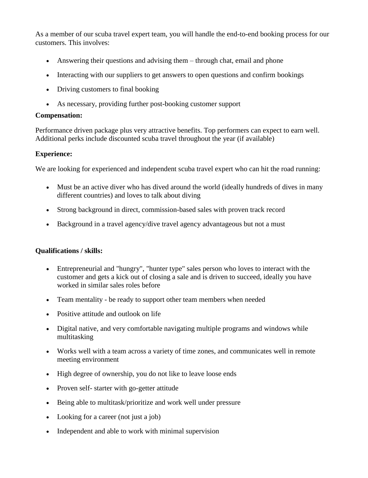As a member of our scuba travel expert team, you will handle the end-to-end booking process for our customers. This involves:

- Answering their questions and advising them through chat, email and phone
- Interacting with our suppliers to get answers to open questions and confirm bookings
- Driving customers to final booking
- As necessary, providing further post-booking customer support

### **Compensation:**

Performance driven package plus very attractive benefits. Top performers can expect to earn well. Additional perks include discounted scuba travel throughout the year (if available)

#### **Experience:**

We are looking for experienced and independent scuba travel expert who can hit the road running:

- Must be an active diver who has dived around the world (ideally hundreds of dives in many different countries) and loves to talk about diving
- Strong background in direct, commission-based sales with proven track record
- Background in a travel agency/dive travel agency advantageous but not a must

## **Qualifications / skills:**

- Entrepreneurial and "hungry", "hunter type" sales person who loves to interact with the customer and gets a kick out of closing a sale and is driven to succeed, ideally you have worked in similar sales roles before
- Team mentality be ready to support other team members when needed
- Positive attitude and outlook on life
- Digital native, and very comfortable navigating multiple programs and windows while multitasking
- Works well with a team across a variety of time zones, and communicates well in remote meeting environment
- High degree of ownership, you do not like to leave loose ends
- Proven self- starter with go-getter attitude
- Being able to multitask/prioritize and work well under pressure
- Looking for a career (not just a job)
- Independent and able to work with minimal supervision